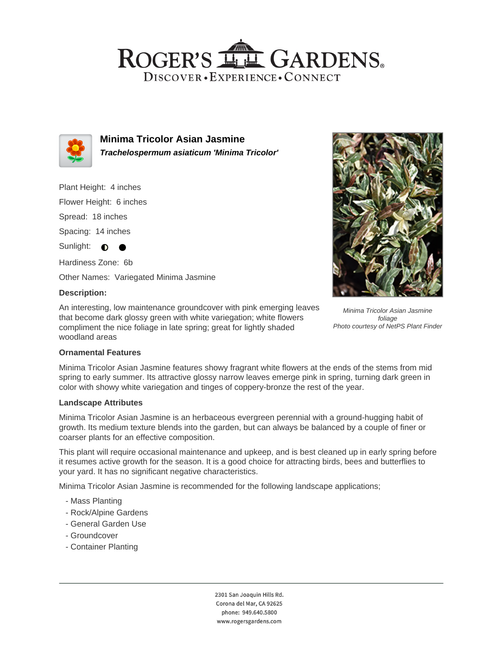## ROGER'S LL GARDENS. DISCOVER · EXPERIENCE · CONNECT



**Minima Tricolor Asian Jasmine Trachelospermum asiaticum 'Minima Tricolor'**

Plant Height: 4 inches

Flower Height: 6 inches

Spread: 18 inches

Spacing: 14 inches

Sunlight:  $\bigcirc$ 

Hardiness Zone: 6b

Other Names: Variegated Minima Jasmine

## **Description:**

An interesting, low maintenance groundcover with pink emerging leaves that become dark glossy green with white variegation; white flowers compliment the nice foliage in late spring; great for lightly shaded woodland areas



Minima Tricolor Asian Jasmine foliage Photo courtesy of NetPS Plant Finder

## **Ornamental Features**

Minima Tricolor Asian Jasmine features showy fragrant white flowers at the ends of the stems from mid spring to early summer. Its attractive glossy narrow leaves emerge pink in spring, turning dark green in color with showy white variegation and tinges of coppery-bronze the rest of the year.

#### **Landscape Attributes**

Minima Tricolor Asian Jasmine is an herbaceous evergreen perennial with a ground-hugging habit of growth. Its medium texture blends into the garden, but can always be balanced by a couple of finer or coarser plants for an effective composition.

This plant will require occasional maintenance and upkeep, and is best cleaned up in early spring before it resumes active growth for the season. It is a good choice for attracting birds, bees and butterflies to your yard. It has no significant negative characteristics.

Minima Tricolor Asian Jasmine is recommended for the following landscape applications;

- Mass Planting
- Rock/Alpine Gardens
- General Garden Use
- Groundcover
- Container Planting

2301 San Joaquin Hills Rd. Corona del Mar, CA 92625 phone: 949.640.5800 www.rogersgardens.com